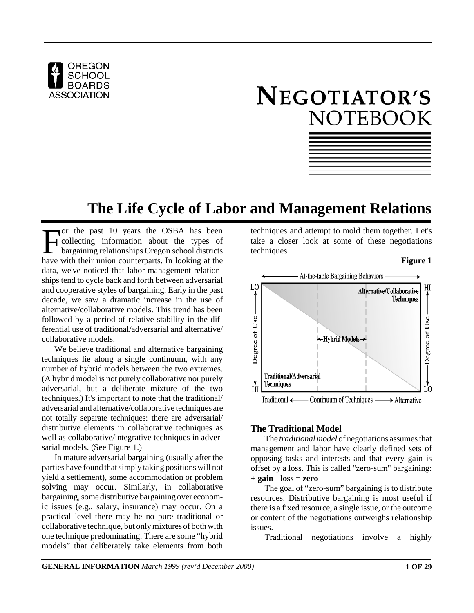

# NEGOTIATOR'S **NOTEBOOK**

|  |  | and the contract of the contract of the contract of the contract of the contract of the contract of the contract of                                                                                                                        |
|--|--|--------------------------------------------------------------------------------------------------------------------------------------------------------------------------------------------------------------------------------------------|
|  |  | and the control of the control of the control of the control of the control of the control of the control of the                                                                                                                           |
|  |  | <u> Andreas Andreas Andreas Andreas Andreas Andreas Andreas Andreas Andreas Andreas Andreas Andreas Andreas Andreas</u>                                                                                                                    |
|  |  | <u> La Carlo de la Carlo de la Carlo de la Carlo de la Carlo de la Carlo de la Carlo de la Carlo de la Carlo de l</u>                                                                                                                      |
|  |  | and the control of the control of the control of the control of the control of the control of the control of the                                                                                                                           |
|  |  | and the control of the control of the control of the control of the control of the control of the control of the<br><u> La componente de la componente de la componente de la componente de la componente de la componente de la compo</u> |
|  |  | <u> La Carlo de la Carlo de la Carlo de la Carlo de la Carlo de la Carlo de la Carlo de la Carlo de la Carlo de l</u>                                                                                                                      |
|  |  | <u> La Carlo de la Carlo de la Carlo de la Carlo de la Carlo de la Carlo de la Carlo de la Carlo de la Carlo de l</u>                                                                                                                      |
|  |  | <u> Andreas Andreas Andreas Andreas Andreas Andreas Andreas Andreas Andreas Andreas Andreas Andreas Andreas Andr</u>                                                                                                                       |
|  |  |                                                                                                                                                                                                                                            |

# **The Life Cycle of Labor and Management Relations**

Franchi and the past 10 years the OSBA has been<br>collecting information about the types of<br>bargaining relationships Oregon school districts<br>have with their union counterparts. In looking at the or the past 10 years the OSBA has been collecting information about the types of bargaining relationships Oregon school districts data, we've noticed that labor-management relationships tend to cycle back and forth between adversarial and cooperative styles of bargaining. Early in the past decade, we saw a dramatic increase in the use of alternative/collaborative models. This trend has been followed by a period of relative stability in the differential use of traditional/adversarial and alternative/ collaborative models.

We believe traditional and alternative bargaining techniques lie along a single continuum, with any number of hybrid models between the two extremes. (A hybrid model is not purely collaborative nor purely adversarial, but a deliberate mixture of the two techniques.) It's important to note that the traditional/ adversarial and alternative/collaborative techniques are not totally separate techniques: there are adversarial/ distributive elements in collaborative techniques as well as collaborative/integrative techniques in adversarial models. (See Figure 1.)

In mature adversarial bargaining (usually after the parties have found that simply taking positions will not yield a settlement), some accommodation or problem solving may occur. Similarly, in collaborative bargaining, some distributive bargaining over economic issues (e.g., salary, insurance) may occur. On a practical level there may be no pure traditional or collaborative technique, but only mixtures of both with one technique predominating. There are some "hybrid models" that deliberately take elements from both techniques and attempt to mold them together. Let's take a closer look at some of these negotiations techniques.

#### **Figure 1**



#### **The Traditional Model**

The *traditional model* of negotiations assumes that management and labor have clearly defined sets of opposing tasks and interests and that every gain is offset by a loss. This is called "zero-sum" bargaining: **+ gain - loss = zero**

The goal of "zero-sum" bargaining is to distribute resources. Distributive bargaining is most useful if there is a fixed resource, a single issue, or the outcome or content of the negotiations outweighs relationship issues.

Traditional negotiations involve a highly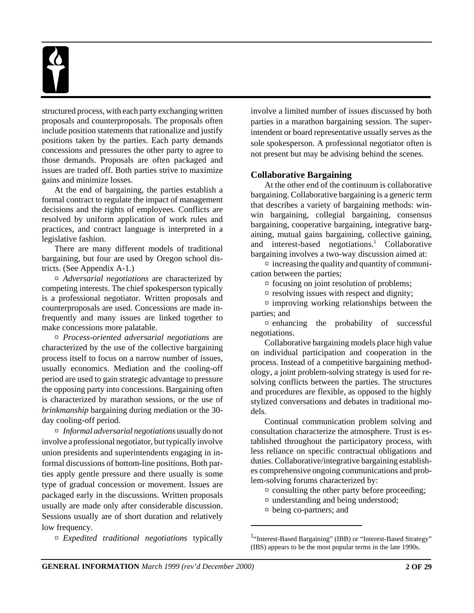

structured process, with each party exchanging written proposals and counterproposals. The proposals often include position statements that rationalize and justify positions taken by the parties. Each party demands concessions and pressures the other party to agree to those demands. Proposals are often packaged and issues are traded off. Both parties strive to maximize gains and minimize losses.

At the end of bargaining, the parties establish a formal contract to regulate the impact of management decisions and the rights of employees. Conflicts are resolved by uniform application of work rules and practices, and contract language is interpreted in a legislative fashion.

There are many different models of traditional bargaining, but four are used by Oregon school districts. (See Appendix A-1.)

R *Adversarial negotiations* are characterized by competing interests. The chief spokesperson typically is a professional negotiator. Written proposals and counterproposals are used. Concessions are made infrequently and many issues are linked together to make concessions more palatable.

R *Process-oriented adversarial negotiations* are characterized by the use of the collective bargaining process itself to focus on a narrow number of issues, usually economics. Mediation and the cooling-off period are used to gain strategic advantage to pressure the opposing party into concessions. Bargaining often is characterized by marathon sessions, or the use of *brinkmanship* bargaining during mediation or the 30 day cooling-off period.

R *Informal adversarial negotiations* usually do not involve a professional negotiator, but typically involve union presidents and superintendents engaging in informal discussions of bottom-line positions. Both parties apply gentle pressure and there usually is some type of gradual concession or movement. Issues are packaged early in the discussions. Written proposals usually are made only after considerable discussion. Sessions usually are of short duration and relatively low frequency.

R *Expedited traditional negotiations* typically

involve a limited number of issues discussed by both parties in a marathon bargaining session. The superintendent or board representative usually serves as the sole spokesperson. A professional negotiator often is not present but may be advising behind the scenes.

#### **Collaborative Bargaining**

At the other end of the continuum is collaborative bargaining. Collaborative bargaining is a generic term that describes a variety of bargaining methods: winwin bargaining, collegial bargaining, consensus bargaining, cooperative bargaining, integrative bargaining, mutual gains bargaining, collective gaining, and interest-based negotiations.<sup>1</sup> Collaborative bargaining involves a two-way discussion aimed at:

 $\Box$  increasing the quality and quantity of communication between the parties;

 $\Box$  focusing on joint resolution of problems;

 $\Box$  resolving issues with respect and dignity;

 $\Box$  improving working relationships between the parties; and

 $\Box$  enhancing the probability of successful negotiations.

Collaborative bargaining models place high value on individual participation and cooperation in the process. Instead of a competitive bargaining methodology, a joint problem-solving strategy is used for resolving conflicts between the parties. The structures and procedures are flexible, as opposed to the highly stylized conversations and debates in traditional models.

Continual communication problem solving and consultation characterize the atmosphere. Trust is established throughout the participatory process, with less reliance on specific contractual obligations and duties. Collaborative/integrative bargaining establishes comprehensive ongoing communications and problem-solving forums characterized by:

- $\Box$  consulting the other party before proceeding;
- $\Box$  understanding and being understood;
- $\Box$  being co-partners; and

<sup>&</sup>lt;sup>1</sup>"Interest-Based Bargaining" (IBB) or "Interest-Based Strategy" (IBS) appears to be the most popular terms in the late 1990s.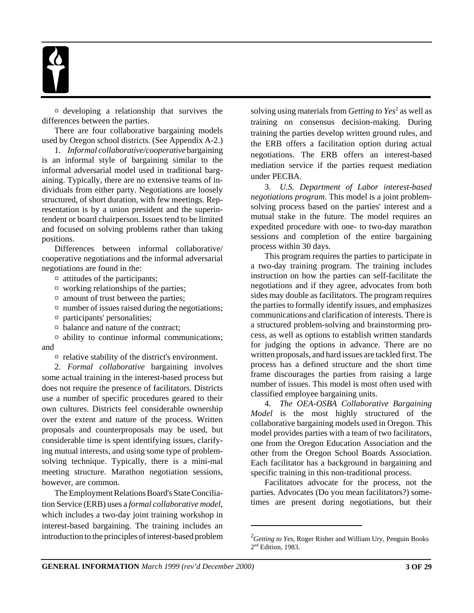

 $\Box$  developing a relationship that survives the differences between the parties.

There are four collaborative bargaining models used by Oregon school districts. (See Appendix A-2.)

1. *Informal collaborative/cooperative* bargaining is an informal style of bargaining similar to the informal adversarial model used in traditional bargaining. Typically, there are no extensive teams of individuals from either party. Negotiations are loosely structured, of short duration, with few meetings. Representation is by a union president and the superintendent or board chairperson. Issues tend to be limited and focused on solving problems rather than taking positions.

Differences between informal collaborative/ cooperative negotiations and the informal adversarial negotiations are found in the:

- $\Box$  attitudes of the participants;
- $\Box$  working relationships of the parties;
- $\Box$  amount of trust between the parties;
- $\Box$  number of issues raised during the negotiations;
- $\Box$  participants' personalities;
- $\Box$  balance and nature of the contract:

 $\Box$  ability to continue informal communications; and

 $\Box$  relative stability of the district's environment.

2. *Formal collaborative* bargaining involves some actual training in the interest-based process but does not require the presence of facilitators. Districts use a number of specific procedures geared to their own cultures. Districts feel considerable ownership over the extent and nature of the process. Written proposals and counterproposals may be used, but considerable time is spent identifying issues, clarifying mutual interests, and using some type of problemsolving technique. Typically, there is a mini-mal meeting structure. Marathon negotiation sessions, however, are common.

The Employment Relations Board's State Conciliation Service (ERB) uses a *formal collaborative model*, which includes a two-day joint training workshop in interest-based bargaining. The training includes an introduction to the principles of interest-based problem

solving using materials from *Getting to Yes*<sup>2</sup> as well as training on consensus decision-making. During training the parties develop written ground rules, and the ERB offers a facilitation option during actual negotiations. The ERB offers an interest-based mediation service if the parties request mediation under PECBA.

3. *U.S. Department of Labor interest-based negotiations program*. This model is a joint problemsolving process based on the parties' interest and a mutual stake in the future. The model requires an expedited procedure with one- to two-day marathon sessions and completion of the entire bargaining process within 30 days.

This program requires the parties to participate in a two-day training program. The training includes instruction on how the parties can self-facilitate the negotiations and if they agree, advocates from both sides may double as facilitators. The program requires the parties to formally identify issues, and emphasizes communications and clarification of interests. There is a structured problem-solving and brainstorming process, as well as options to establish written standards for judging the options in advance. There are no written proposals, and hard issues are tackled first. The process has a defined structure and the short time frame discourages the parties from raising a large number of issues. This model is most often used with classified employee bargaining units.

4. *The OEA-OSBA Collaborative Bargaining Model* is the most highly structured of the collaborative bargaining models used in Oregon. This model provides parties with a team of two facilitators, one from the Oregon Education Association and the other from the Oregon School Boards Association. Each facilitator has a background in bargaining and specific training in this non-traditional process.

Facilitators advocate for the process, not the parties. Advocates (Do you mean facilitators?) sometimes are present during negotiations, but their

<sup>2</sup> *Getting to Yes*, Roger Risher and William Ury, Penguin Books 2<sup>nd</sup> Edition, 1983.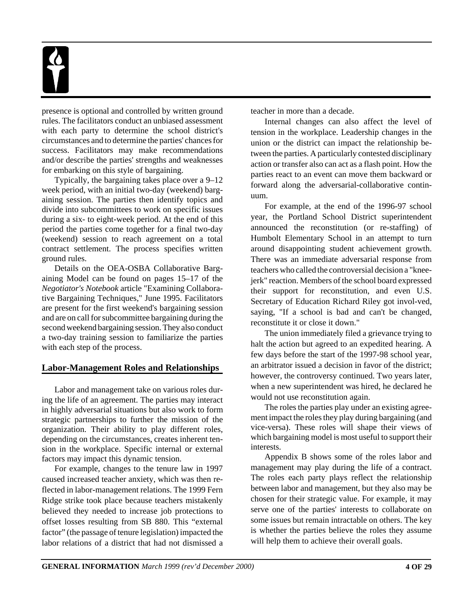

presence is optional and controlled by written ground rules. The facilitators conduct an unbiased assessment with each party to determine the school district's circumstances and to determine the parties' chances for success. Facilitators may make recommendations and/or describe the parties' strengths and weaknesses for embarking on this style of bargaining.

Typically, the bargaining takes place over a 9–12 week period, with an initial two-day (weekend) bargaining session. The parties then identify topics and divide into subcommittees to work on specific issues during a six- to eight-week period. At the end of this period the parties come together for a final two-day (weekend) session to reach agreement on a total contract settlement. The process specifies written ground rules.

Details on the OEA-OSBA Collaborative Bargaining Model can be found on pages 15–17 of the *Negotiator's Notebook* article "Examining Collaborative Bargaining Techniques," June 1995. Facilitators are present for the first weekend's bargaining session and are on call for subcommittee bargaining during the second weekend bargaining session. They also conduct a two-day training session to familiarize the parties with each step of the process.

#### **Labor-Management Roles and Relationships**

Labor and management take on various roles during the life of an agreement. The parties may interact in highly adversarial situations but also work to form strategic partnerships to further the mission of the organization. Their ability to play different roles, depending on the circumstances, creates inherent tension in the workplace. Specific internal or external factors may impact this dynamic tension.

For example, changes to the tenure law in 1997 caused increased teacher anxiety, which was then reflected in labor-management relations. The 1999 Fern Ridge strike took place because teachers mistakenly believed they needed to increase job protections to offset losses resulting from SB 880. This "external factor" (the passage of tenure legislation) impacted the labor relations of a district that had not dismissed a teacher in more than a decade.

Internal changes can also affect the level of tension in the workplace. Leadership changes in the union or the district can impact the relationship between the parties. A particularly contested disciplinary action or transfer also can act as a flash point. How the parties react to an event can move them backward or forward along the adversarial-collaborative continuum.

For example, at the end of the 1996-97 school year, the Portland School District superintendent announced the reconstitution (or re-staffing) of Humbolt Elementary School in an attempt to turn around disappointing student achievement growth. There was an immediate adversarial response from teachers who called the controversial decision a "kneejerk" reaction. Members of the school board expressed their support for reconstitution, and even U.S. Secretary of Education Richard Riley got invol-ved, saying, "If a school is bad and can't be changed, reconstitute it or close it down."

The union immediately filed a grievance trying to halt the action but agreed to an expedited hearing. A few days before the start of the 1997-98 school year, an arbitrator issued a decision in favor of the district; however, the controversy continued. Two years later, when a new superintendent was hired, he declared he would not use reconstitution again.

The roles the parties play under an existing agreement impact the roles they play during bargaining (and vice-versa). These roles will shape their views of which bargaining model is most useful to support their interests.

Appendix B shows some of the roles labor and management may play during the life of a contract. The roles each party plays reflect the relationship between labor and management, but they also may be chosen for their strategic value. For example, it may serve one of the parties' interests to collaborate on some issues but remain intractable on others. The key is whether the parties believe the roles they assume will help them to achieve their overall goals.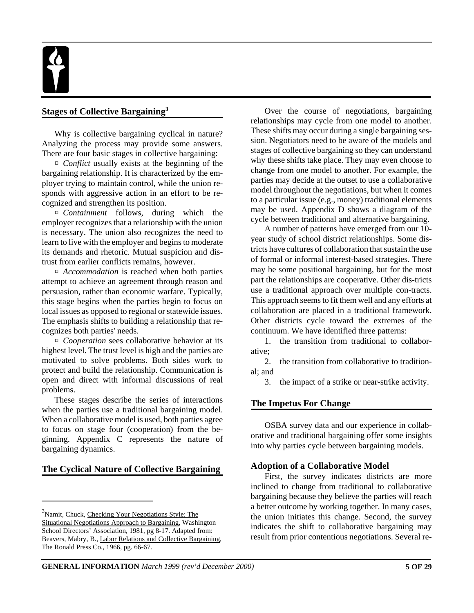

#### **Stages of Collective Bargaining3**

Why is collective bargaining cyclical in nature? Analyzing the process may provide some answers. There are four basic stages in collective bargaining:

 $\Box$  *Conflict* usually exists at the beginning of the bargaining relationship. It is characterized by the employer trying to maintain control, while the union responds with aggressive action in an effort to be recognized and strengthen its position.

R *Containment* follows, during which the employer recognizes that a relationship with the union is necessary. The union also recognizes the need to learn to live with the employer and begins to moderate its demands and rhetoric. Mutual suspicion and distrust from earlier conflicts remains, however.

□ *Accommodation* is reached when both parties attempt to achieve an agreement through reason and persuasion, rather than economic warfare. Typically, this stage begins when the parties begin to focus on local issues as opposed to regional or statewide issues. The emphasis shifts to building a relationship that recognizes both parties' needs.

□ *Cooperation* sees collaborative behavior at its highest level. The trust level is high and the parties are motivated to solve problems. Both sides work to protect and build the relationship. Communication is open and direct with informal discussions of real problems.

These stages describe the series of interactions when the parties use a traditional bargaining model. When a collaborative model is used, both parties agree to focus on stage four (cooperation) from the beginning. Appendix C represents the nature of bargaining dynamics.

#### **The Cyclical Nature of Collective Bargaining**

Over the course of negotiations, bargaining relationships may cycle from one model to another. These shifts may occur during a single bargaining session. Negotiators need to be aware of the models and stages of collective bargaining so they can understand why these shifts take place. They may even choose to change from one model to another. For example, the parties may decide at the outset to use a collaborative model throughout the negotiations, but when it comes to a particular issue (e.g., money) traditional elements may be used. Appendix D shows a diagram of the cycle between traditional and alternative bargaining.

A number of patterns have emerged from our 10 year study of school district relationships. Some districts have cultures of collaboration that sustain the use of formal or informal interest-based strategies. There may be some positional bargaining, but for the most part the relationships are cooperative. Other dis-tricts use a traditional approach over multiple con-tracts. This approach seems to fit them well and any efforts at collaboration are placed in a traditional framework. Other districts cycle toward the extremes of the continuum. We have identified three patterns:

1. the transition from traditional to collaborative;

2. the transition from collaborative to traditional; and

3. the impact of a strike or near-strike activity.

#### **The Impetus For Change**

OSBA survey data and our experience in collaborative and traditional bargaining offer some insights into why parties cycle between bargaining models.

#### **Adoption of a Collaborative Model**

First, the survey indicates districts are more inclined to change from traditional to collaborative bargaining because they believe the parties will reach a better outcome by working together. In many cases, the union initiates this change. Second, the survey indicates the shift to collaborative bargaining may result from prior contentious negotiations. Several re-

<sup>&</sup>lt;sup>3</sup>Namit, Chuck, Checking Your Negotiations Style: The Situational Negotiations Approach to Bargaining, Washington School Directors' Association, 1981, pg 8-17. Adapted from: Beavers, Mabry, B., Labor Relations and Collective Bargaining, The Ronald Press Co., 1966, pg. 66-67.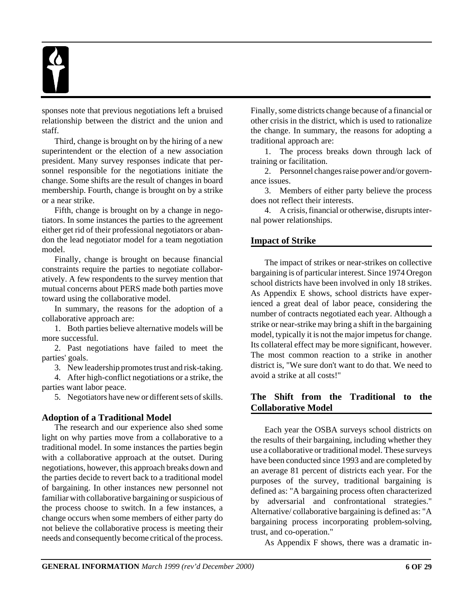

sponses note that previous negotiations left a bruised relationship between the district and the union and staff.

Third, change is brought on by the hiring of a new superintendent or the election of a new association president. Many survey responses indicate that personnel responsible for the negotiations initiate the change. Some shifts are the result of changes in board membership. Fourth, change is brought on by a strike or a near strike.

Fifth, change is brought on by a change in negotiators. In some instances the parties to the agreement either get rid of their professional negotiators or abandon the lead negotiator model for a team negotiation model.

Finally, change is brought on because financial constraints require the parties to negotiate collaboratively. A few respondents to the survey mention that mutual concerns about PERS made both parties move toward using the collaborative model.

In summary, the reasons for the adoption of a collaborative approach are:

1. Both parties believe alternative models will be more successful.

2. Past negotiations have failed to meet the parties' goals.

3. New leadership promotes trust and risk-taking.

4. After high-conflict negotiations or a strike, the parties want labor peace.

5. Negotiators have new or different sets of skills.

#### **Adoption of a Traditional Model**

The research and our experience also shed some light on why parties move from a collaborative to a traditional model. In some instances the parties begin with a collaborative approach at the outset. During negotiations, however, this approach breaks down and the parties decide to revert back to a traditional model of bargaining. In other instances new personnel not familiar with collaborative bargaining or suspicious of the process choose to switch. In a few instances, a change occurs when some members of either party do not believe the collaborative process is meeting their needs and consequently become critical of the process. Finally, some districts change because of a financial or other crisis in the district, which is used to rationalize the change. In summary, the reasons for adopting a traditional approach are:

1. The process breaks down through lack of training or facilitation.

2. Personnel changes raise power and/or governance issues.

3. Members of either party believe the process does not reflect their interests.

4. A crisis, financial or otherwise, disrupts internal power relationships.

#### **Impact of Strike**

The impact of strikes or near-strikes on collective bargaining is of particular interest. Since 1974 Oregon school districts have been involved in only 18 strikes. As Appendix E shows, school districts have experienced a great deal of labor peace, considering the number of contracts negotiated each year. Although a strike or near-strike may bring a shift in the bargaining model, typically it is not the major impetus for change. Its collateral effect may be more significant, however. The most common reaction to a strike in another district is, "We sure don't want to do that. We need to avoid a strike at all costs!"

#### **The Shift from the Traditional to the Collaborative Model**

Each year the OSBA surveys school districts on the results of their bargaining, including whether they use a collaborative or traditional model. These surveys have been conducted since 1993 and are completed by an average 81 percent of districts each year. For the purposes of the survey, traditional bargaining is defined as: "A bargaining process often characterized by adversarial and confrontational strategies." Alternative/ collaborative bargaining is defined as: "A bargaining process incorporating problem-solving, trust, and co-operation."

As Appendix F shows, there was a dramatic in-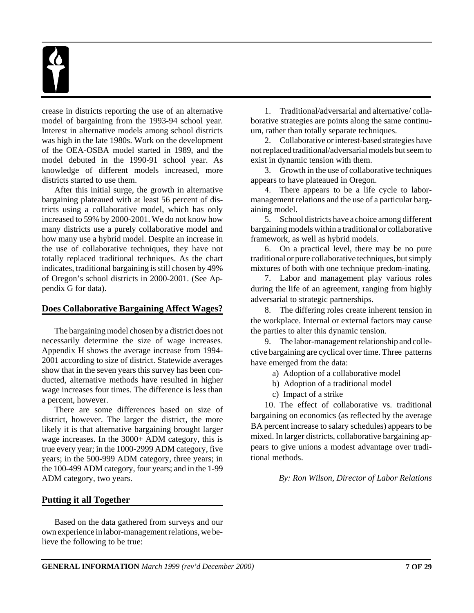

crease in districts reporting the use of an alternative model of bargaining from the 1993-94 school year. Interest in alternative models among school districts was high in the late 1980s. Work on the development of the OEA-OSBA model started in 1989, and the model debuted in the 1990-91 school year. As knowledge of different models increased, more districts started to use them.

After this initial surge, the growth in alternative bargaining plateaued with at least 56 percent of districts using a collaborative model, which has only increased to 59% by 2000-2001. We do not know how many districts use a purely collaborative model and how many use a hybrid model. Despite an increase in the use of collaborative techniques, they have not totally replaced traditional techniques. As the chart indicates, traditional bargaining is still chosen by 49% of Oregon's school districts in 2000-2001. (See Appendix G for data).

#### **Does Collaborative Bargaining Affect Wages?**

The bargaining model chosen by a district does not necessarily determine the size of wage increases. Appendix H shows the average increase from 1994- 2001 according to size of district. Statewide averages show that in the seven years this survey has been conducted, alternative methods have resulted in higher wage increases four times. The difference is less than a percent, however.

There are some differences based on size of district, however. The larger the district, the more likely it is that alternative bargaining brought larger wage increases. In the 3000+ ADM category, this is true every year; in the 1000-2999 ADM category, five years; in the 500-999 ADM category, three years; in the 100-499 ADM category, four years; and in the 1-99 ADM category, two years.

#### **Putting it all Together**

Based on the data gathered from surveys and our own experience in labor-management relations, we believe the following to be true:

1. Traditional/adversarial and alternative/ collaborative strategies are points along the same continuum, rather than totally separate techniques.

2. Collaborative or interest-based strategies have not replaced traditional/adversarial models but seem to exist in dynamic tension with them.

3. Growth in the use of collaborative techniques appears to have plateaued in Oregon.

4. There appears to be a life cycle to labormanagement relations and the use of a particular bargaining model.

5. School districts have a choice among different bargaining models within a traditional or collaborative framework, as well as hybrid models.

6. On a practical level, there may be no pure traditional or pure collaborative techniques, but simply mixtures of both with one technique predom-inating.

7. Labor and management play various roles during the life of an agreement, ranging from highly adversarial to strategic partnerships.

8. The differing roles create inherent tension in the workplace. Internal or external factors may cause the parties to alter this dynamic tension.

9. The labor-management relationship and collective bargaining are cyclical over time. Three patterns have emerged from the data:

a) Adoption of a collaborative model

- b) Adoption of a traditional model
- c) Impact of a strike

10. The effect of collaborative vs. traditional bargaining on economics (as reflected by the average BA percent increase to salary schedules) appears to be mixed. In larger districts, collaborative bargaining appears to give unions a modest advantage over traditional methods.

*By: Ron Wilson, Director of Labor Relations*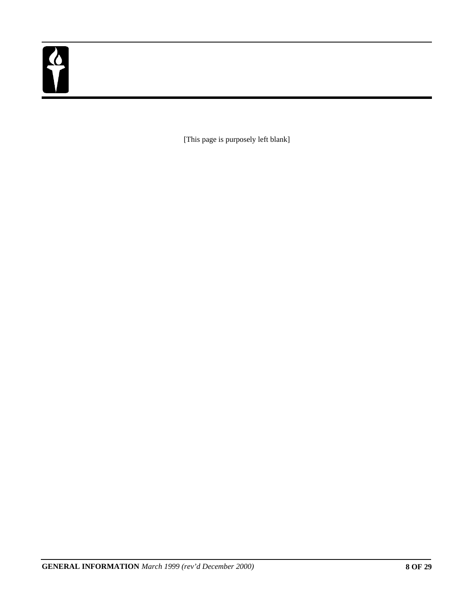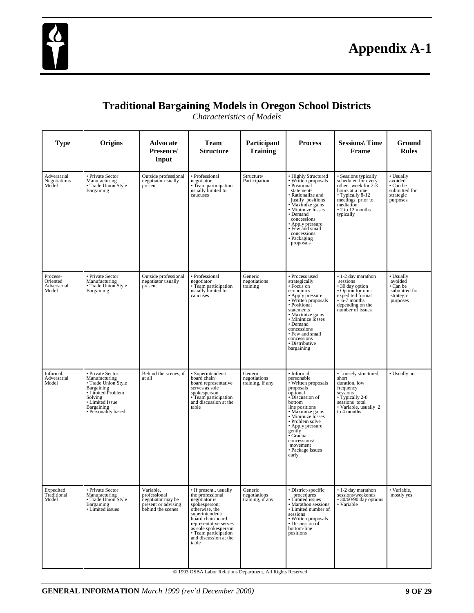

## **Traditional Bargaining Models in Oregon School Districts**

| <b>Type</b>                                  | Origins                                                                                                                                                        | Advocate<br>Presence/<br>Input                                                             | <b>Team</b><br><b>Structure</b>                                                                                                                                                                                                                  | Participant<br><b>Training</b>              | <b>Process</b>                                                                                                                                                                                                                                                                           | <b>Sessions\Time</b><br>Frame                                                                                                                                               | Ground<br><b>Rules</b>                                                     |
|----------------------------------------------|----------------------------------------------------------------------------------------------------------------------------------------------------------------|--------------------------------------------------------------------------------------------|--------------------------------------------------------------------------------------------------------------------------------------------------------------------------------------------------------------------------------------------------|---------------------------------------------|------------------------------------------------------------------------------------------------------------------------------------------------------------------------------------------------------------------------------------------------------------------------------------------|-----------------------------------------------------------------------------------------------------------------------------------------------------------------------------|----------------------------------------------------------------------------|
| Adversarial<br>Negotiations<br>Model         | • Private Sector<br>Manufacturing<br>• Trade Union Style<br>Bargaining                                                                                         | Outside professional<br>negotiator usually<br>present                                      | • Professional<br>negotiator<br>• Team participation<br>usually limited to<br>caucuses                                                                                                                                                           | Structure/<br>Participation                 | • Highly Structured<br>• Written proposals<br>· Positional<br>statements<br>• Rationalize and<br>justify positions<br>• Maximize gains<br>• Minimize losses<br>• Demand<br>concessions<br>• Apply pressure<br>• Few and small<br>concessions<br>• Packaging<br>proposals                 | · Sessions typically<br>scheduled for every<br>other week for 2-3<br>hours at a time<br>• Typically 8-12<br>meetings prior to<br>mediation<br>• 2 to 12 months<br>typically | • Usually<br>avoided<br>• Can be<br>submitted for<br>strategic<br>purposes |
| Process-<br>Oriented<br>Adverserial<br>Model | • Private Sector<br>Manufacturing<br>• Trade Union Style<br>Bargaining                                                                                         | Outside professional<br>negotiator usually<br>present                                      | • Professional<br>negotiator<br>• Team participation<br>usually limited to<br>caucuses                                                                                                                                                           | Generic<br>negotiations<br>training         | • Process used<br>strategically<br>• Focus on<br>economics<br>• Apply pressure<br>• Written proposals<br>· Positional<br>statements<br>• Maximize gains<br>• Minimize losses<br>• Demand<br>concessions<br>• Few and small<br>concessions<br>• Distributive<br>bargaining                | • 1-2 day marathon<br>sessions<br>• 30 day option<br>• Option for non-<br>expedited format<br>$\cdot$ 6-7 months<br>depending on the<br>number of issues                    | • Usually<br>avoided<br>• Can be<br>submitted for<br>strategic<br>purposes |
| Informal,<br>Adversarial<br>Model            | • Private Sector<br>Manufacturing<br>• Trade Union Style<br>Bargaining<br>• Limited Problem<br>Solving<br>• Limited Issue<br>Bargaining<br>• Personality based | Behind the scenes, if<br>at all                                                            | · Superintendent/<br>board chair/<br>board representative<br>serves as sole<br>spokesperson<br>• Team participation<br>and discussion at the<br>table                                                                                            | Generic<br>negotiations<br>training, if any | • Informal,<br>personable<br>• Written proposals<br>proposals<br>optional<br>• Discussion of<br>bottom<br>line positions<br>• Maximize gains<br>• Minimize losses<br>• Problem solve<br>• Apply pressure<br>gently<br>• Gradual<br>concessions/<br>movement<br>• Package issues<br>early | • Loosely structured,<br>short<br>duration, low<br>frequency<br>sessions<br>• Typically 2-8<br>sessions total<br>• Variable, usually 2<br>to 4 months                       | • Usually no                                                               |
| Expedited<br>Traditional<br>Model            | • Private Sector<br>Manufacturing<br>• Trade Union Style<br>Bargaining<br>• Limited issues                                                                     | Variable,<br>professional<br>negotiator may be<br>present or advising<br>behind the scenes | • If present, usually<br>the professional<br>negotiator is<br>spokesperson;<br>otherwise, the<br>superintendent/<br>board chair/board<br>representative serves<br>as sole spokesperson<br>• Team participation<br>and discussion at the<br>table | Generic<br>negotiations<br>training, if any | • District-specific<br>procedures<br>• Limited issues<br>• Marathon sessions<br>• Limited number of<br>sessions<br>• Written proposals<br>• Discussion of<br>bottom-line<br>positions                                                                                                    | • 1-2 day marathon<br>sessions/weekends<br>$\cdot$ 30/60/90 day options<br>• Variable                                                                                       | • Variable.<br>mostly yes                                                  |

*Characteristics of Models*

© 1993 OSBA Labor Relations Department, All Rights Reserved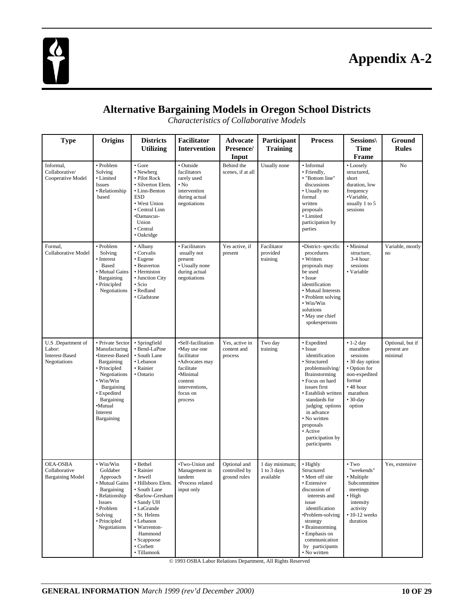

## **Alternative Bargaining Models in Oregon School Districts**

| <b>Type</b>                                                    | Origins                                                                                                                                                                                                                                                                                                                                                                                                                                        | <b>Districts</b><br><b>Utilizing</b>                                                                                                                                        | <b>Facilitator</b><br><b>Intervention</b>                                                                                                         | Advocate<br>Presence/<br>Input                | Participant<br><b>Training</b>             | <b>Process</b>                                                                                                                                                                                                                                                                        | Sessions\<br>Time<br><b>Frame</b>                                                                                                                                  | Ground<br><b>Rules</b>                     |  |
|----------------------------------------------------------------|------------------------------------------------------------------------------------------------------------------------------------------------------------------------------------------------------------------------------------------------------------------------------------------------------------------------------------------------------------------------------------------------------------------------------------------------|-----------------------------------------------------------------------------------------------------------------------------------------------------------------------------|---------------------------------------------------------------------------------------------------------------------------------------------------|-----------------------------------------------|--------------------------------------------|---------------------------------------------------------------------------------------------------------------------------------------------------------------------------------------------------------------------------------------------------------------------------------------|--------------------------------------------------------------------------------------------------------------------------------------------------------------------|--------------------------------------------|--|
| Informal,<br>Collaborative/<br>Cooperative Model               | • Problem<br>Solving<br>• Limited<br>Issues<br>• Relationship<br>based                                                                                                                                                                                                                                                                                                                                                                         | · Gore<br>• Newberg<br>· Pilot Rock<br>· Silverton Elem.<br>• Linn-Benton<br><b>ESD</b><br>• West Union<br>• Central Linn<br>·Damascus-<br>Union<br>• Central<br>· Oakridge | · Outside<br>facilitators<br>rarely used<br>$\cdot$ No<br>intervention<br>during actual<br>negotiations                                           | Behind the<br>scenes, if at all               | Usually none                               | · Informal<br>· Friendly,<br>• "Bottom line"<br>discussions<br>• Usually no<br>formal<br>written<br>proposals<br>· Limited<br>participation by<br>parties                                                                                                                             | • Loosely<br>structured.<br>short<br>duration, low<br>frequency<br>·Variable,<br>usually 1 to 5<br>sessions                                                        | N <sub>o</sub>                             |  |
| Formal,<br>Collaborative Model                                 | • Problem<br>Solving<br>• Interest<br>Based<br>· Mutual Gains<br>Bargaining<br>• Principled<br>Negotiations                                                                                                                                                                                                                                                                                                                                    | • Albany<br>• Corvalis<br>• Eugene<br>• Beaverton<br>• Hermiston<br>• Junction City<br>• Scio<br>• Redland<br>• Gladstone                                                   | · Facilitators<br>usually not<br>present<br>• Usually none<br>during actual<br>negotiations                                                       | Yes active, if<br>present                     | Facilitator<br>provided<br>training        | •District-specific<br>• Minimal<br>procedures<br>structure,<br>• Written<br>3-4 hour<br>proposals may<br>sessions<br>be used<br>• Variable<br>• Issue<br>identification<br>• Mutual Interests<br>• Problem solving<br>• Win/Win<br>solutions<br>• May use chief<br>spokespersons      |                                                                                                                                                                    | Variable, mostly<br>no                     |  |
| U.S .Department of<br>Labor:<br>Interest-Based<br>Negotiations | · Private Sector<br>Manufacturing<br>•Interest-Based<br>Bargaining<br>• Principled<br>Negotiations<br>• Win/Win<br>Bargaining<br>• Expedited<br>Bargaining<br>·Mutual<br>Interest<br>Bargaining                                                                                                                                                                                                                                                | • Springfield<br>• Bend-LaPine<br>• South Lane<br>• Lebanon<br>• Rainier<br>· Ontario                                                                                       | ·Self-facilitation<br>•May use one<br>facilitator<br>•Advocates may<br>facilitate<br>•Minimal<br>content<br>interventions,<br>focus on<br>process | Yes, active in<br>content and<br>process      | Two day<br>training                        | • Expedited<br>• Issue<br>identification<br>· Structured<br>problemsolving/<br>Brainstorming<br>· Focus on hard<br>issues first<br>• Establish written<br>standards for<br>judging options<br>in advance<br>· No written<br>proposals<br>· Active<br>participation by<br>participants | $\bullet$ 1-2 day<br>marathon<br>sessions<br>• 30 day option<br>• Option for<br>non-expedited<br>format<br>$\cdot$ 48 hour<br>marathon<br>$\cdot$ 30-day<br>option | Optional, but if<br>present are<br>minimal |  |
| <b>OEA-OSBA</b><br>Collaborative<br><b>Bargaining Model</b>    | · Win/Win<br>· Bethel<br>Goldaber<br>• Rainier<br>Management in<br>• Jewell<br>Approach<br>tandem<br>· Mutual Gains<br>· Hillsboro Elem.<br>·Process related<br>Bargaining<br>• South Lane<br>input only<br>• Relationship<br>·Barlow-Gresham<br>Issues<br>• Sandy UH<br>• Problem<br>• LaGrande<br>Solving<br>• St. Helens<br>• Principled<br>• Lebanon<br>Negotiations<br>• Warrenton-<br>Hammond<br>• Scappoose<br>• Corbett<br>• Tillamook |                                                                                                                                                                             | •Two-Union and                                                                                                                                    | Optional and<br>controlled by<br>ground rules | 1 day minimum;<br>1 to 3 days<br>available | • Highly<br>Structured<br>• Meet off site<br>• Extensive<br>discussion of<br>interests and<br>issue<br>identification<br>•Problem-solving<br>strategy<br>• Brainstorming<br>· Emphasis on<br>communication<br>by participants<br>· No written                                         | $\bullet$ Two<br>"weekends"<br>• Multiple<br>Subcommittee<br>meetings<br>$\bullet$ High<br>intensity<br>activity<br>$\cdot$ 10-12 weeks<br>duration                | Yes, extensive                             |  |

*Characteristics of Collaborative Models*

© 1993 OSBA Labor Relations Department, All Rights Reserved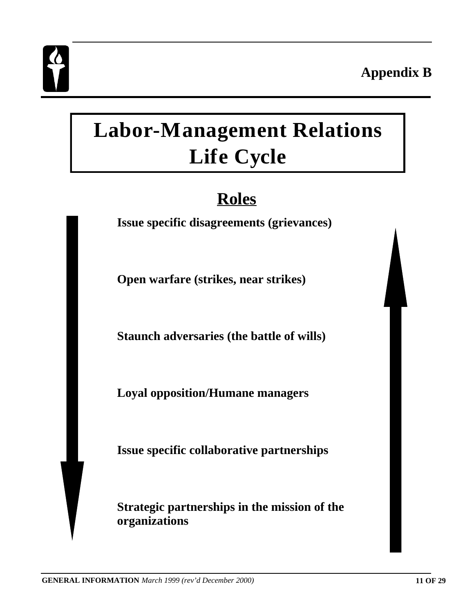

# **Labor-Management Relations Life Cycle**

# **Roles**

**Issue specific disagreements (grievances)**

**Open warfare (strikes, near strikes)**

**Staunch adversaries (the battle of wills)**

**Loyal opposition/Humane managers**

**Issue specific collaborative partnerships**

**Strategic partnerships in the mission of the organizations**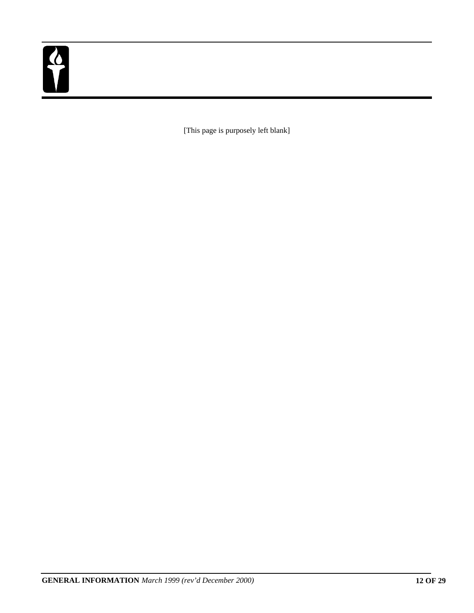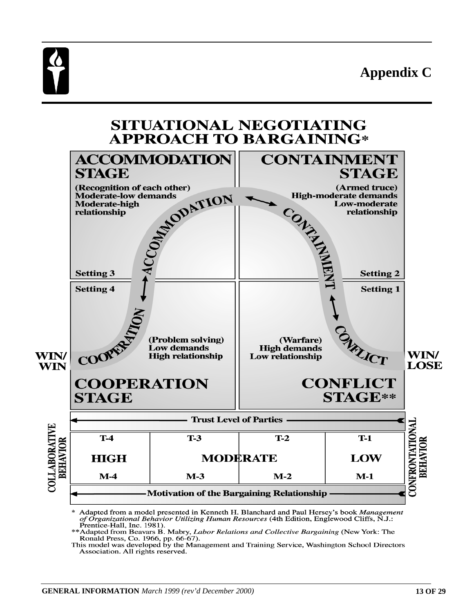## **Appendix C**



## SITUATIONAL NEGOTIATING **APPROACH TO BARGAINING\***



Prentice-Hall, Inc. 1981).

<sup>\*\*</sup> Adapted from Beavars B. Mabry, Labor Relations and Collective Bargaining (New York: The Roaded Hoff Beavas B. Maor, *Labor* Relations and Concentre Bargaming (New York: The<br>Ronald Press, Co. 1966, pp. 66-67).<br>This model was developed by the Management and Training Service, Washington School Directors

Association. All rights reserved.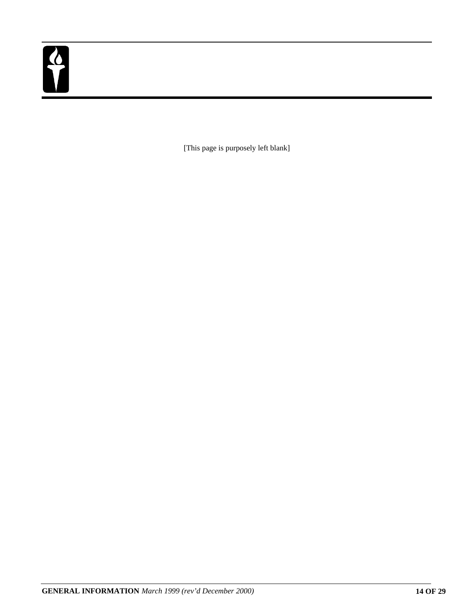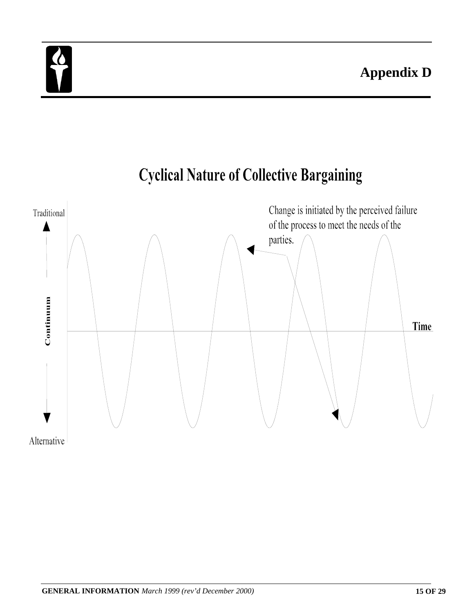

# **Cyclical Nature of Collective Bargaining**



Alternative<sup>|</sup>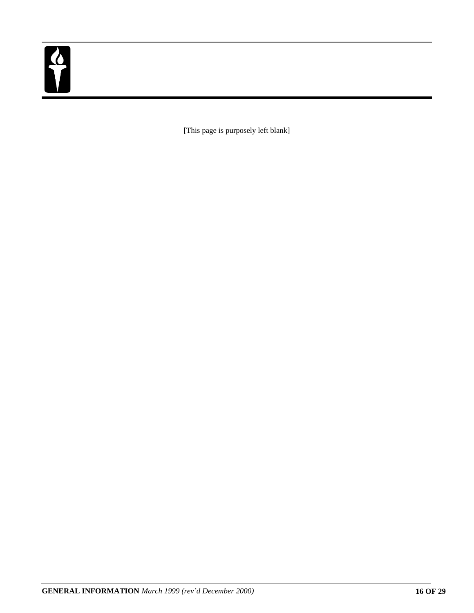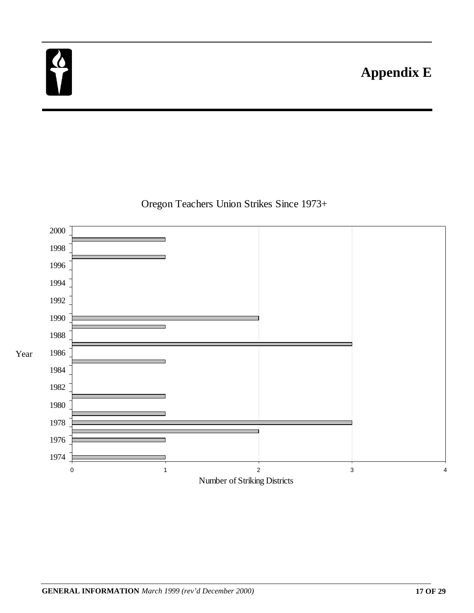# $\blacklozenge$



Oregon Teachers Union Strikes Since 1973+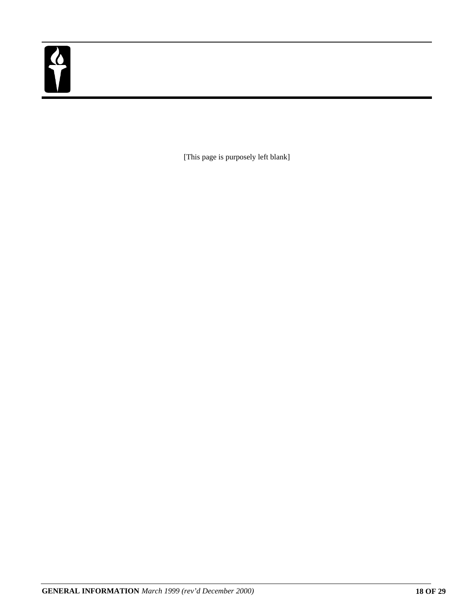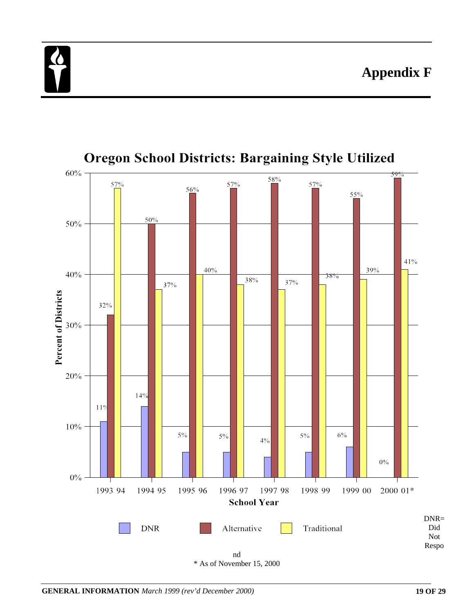**Appendix F**





\* As of November 15, 2000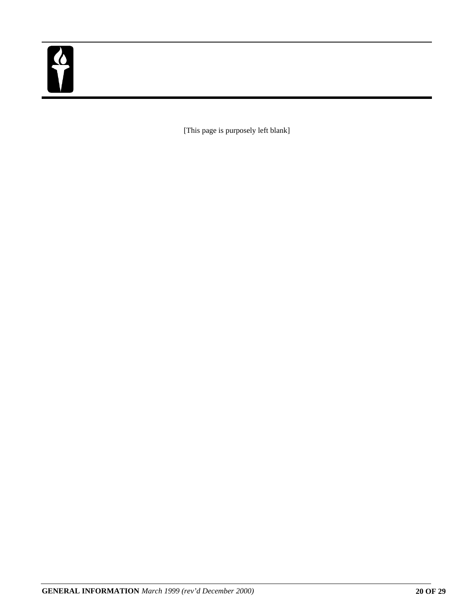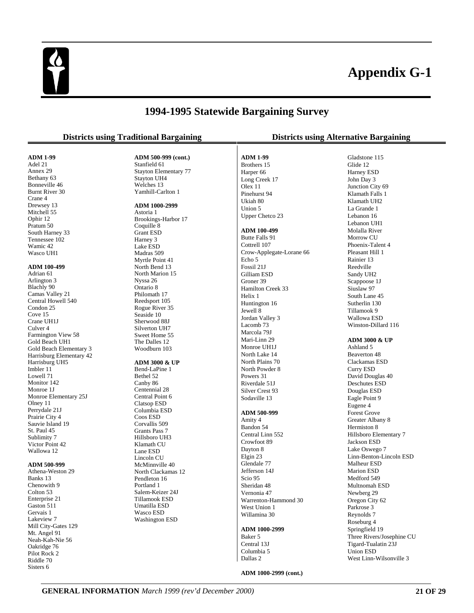

## **1994-1995 Statewide Bargaining Survey**

#### **Districts using Traditional Bargaining Districts using Alternative Bargaining**

#### **ADM 1-99**

Adel 21 Annex 29 Bethany 63 Bonneville 46 Burnt River 30 Crane 4 Drewsey 13 Mitchell 55 Ophir 12 Pratum 50 South Harney 33 Tennessee 102 Wamic 42 Wasco UH1

#### **ADM 100-499**

Adrian 61 Arlington 3 Blachly 90 Camas Valley 21 Central Howell 540 Condon 25 Cove 15 Crane UH1J Culver 4 Farmington View 58 Gold Beach UH1 Gold Beach Elementary 3 Harrisburg Elementary 42 Harrisburg UH5 Imbler 11 Lowell 71 Monitor 142 Monroe 1J Monroe Elementary 25J Olney 11 Perrydale 21J Prairie City 4 Sauvie Island 19 St. Paul 45 Sublimity 7 Victor Point 42 Wallowa 12

#### **ADM 500-999**

Athena-Weston 29 Banks 13 Chenowith 9 Colton 53 Enterprise 21 Gaston 511 Gervais 1 Lakeview 7 Mill City-Gates 129 Mt. Angel 91 Neah-Kah-Nie 56 Oakridge 76 Pilot Rock 2 Riddle 70 Sisters 6

#### **ADM 500-999 (cont.)** Stanfield 61

Stayton Elementary 77 Stayton UH4 Welches 13 Yamhill-Carlton 1

#### **ADM 1000-2999** Astoria 1 Brookings-Harbor 17 Coquille 8 Grant ESD Harney 3 Lake ESD Madras 509 Myrtle Point 41 North Bend 13 North Marion 15 Nyssa 26 Ontario 8 Philomath 17 Reedsport 105 Rogue River 35 Seaside 10 Sherwood 88J Silverton UH7 Sweet Home 55 The Dalles 12

#### Woodburn 103 **ADM 3000 & UP**

Bend-LaPine 1 Bethel 52 Canby 86 Centennial 28 Central Point 6 Clatsop ESD Columbia ESD Coos ESD Corvallis 509 Grants Pass 7 Hillsboro UH3 Klamath CU Lane ESD Lincoln CU McMinnville 40 North Clackamas 12 Pendleton 16 Portland 1 Salem-Keizer 24J Tillamook ESD Umatilla ESD Wasco ESD Washington ESD

**ADM 1-99** Brothers 15 Harper 66 Long Creek 17 Olex 11 Pinehurst 94 Ukiah 80 Union 5 Upper Chetco 23 **ADM 100-499** Butte Falls 91 Cottrell 107 Crow-Applegate-Lorane 66 Echo 5 Fossil 21J Gilliam ESD Groner 39 Hamilton Creek 33 Helix 1 Huntington 16 Jewell 8 Jordan Valley 3 Lacomb 73 Marcola 79J Mari-Linn 29

Monroe UH1J North Lake 14 North Plains 70 North Powder 8 Powers 31 Riverdale 51J Silver Crest 93 Sodaville 13

#### **ADM 500-999**

Amity 4 Bandon 54 Central Linn 552 Crowfoot 89 Dayton 8 Elgin 23 Glendale 77 Jefferson 14J Scio 95 Sheridan 48 Vernonia 47 Warrenton-Hammond 30 West Union 1 Willamina 30

#### **ADM 1000-2999** Baker 5

Central 13J Columbia 5 Dallas 2

Gladstone 115 Glide 12 Harney ESD John Day 3

Junction City 69 Klamath Falls 1 Klamath UH2 La Grande 1 Lebanon 16 Lebanon UH1 Molalla River Morrow CU Phoenix-Talent 4 Pleasant Hill 1 Rainier 13 Reedville Sandy UH2 Scappoose 1J Siuslaw 97 South Lane 45 Sutherlin 130 Tillamook 9 Wallowa ESD Winston-Dillard 116 **ADM 3000 & UP** Ashland 5 Beaverton 48 Clackamas ESD Curry ESD David Douglas 40 Deschutes ESD Douglas ESD Eagle Point 9 Eugene 4 Forest Grove Greater Albany 8 Hermiston 8 Hillsboro Elementary 7 Jackson ESD Lake Oswego 7 Linn-Benton-Lincoln ESD Malheur ESD Marion ESD Medford 549 Multnomah ESD Newberg 29 Oregon City 62 Parkrose 3 Reynolds 7 Roseburg 4 Springfield 19 Three Rivers/Josephine CU Tigard-Tualatin 23J Union ESD West Linn-Wilsonville 3

**ADM 1000-2999 (cont.)**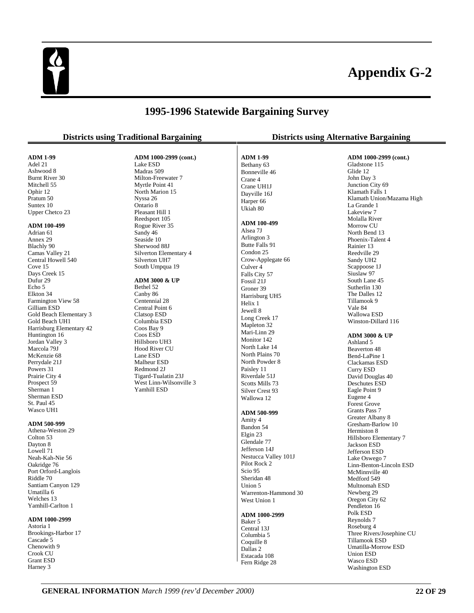

## **1995-1996 Statewide Bargaining Survey**

#### **Districts using Traditional Bargaining Districts using Alternative Bargaining**

#### **ADM 1-99**

Adel 21 Ashwood 8 Burnt River 30 Mitchell 55 Ophir 12 Pratum 50 Suntex 10 Upper Chetco 23

#### **ADM 100-499**

Adrian 61 Annex 29 Blachly 90 Camas Valley 21 Central Howell 540 Cove 15 Days Creek 15 Dufur 29 Echo 5 Elkton 34 Farmington View 58 Gilliam ESD Gold Beach Elementary 3 Gold Beach UH1 Harrisburg Elementary 42 Huntington 16 Jordan Valley 3 Marcola 79J McKenzie 68 Perrydale 21J Powers 31 Prairie City 4 Prospect 59 Sherman 1 Sherman ESD St. Paul 45 Wasco UH1

#### **ADM 500-999**

Athena-Weston 29 Colton 53 Dayton 8 Lowell 71 Neah-Kah-Nie 56 Oakridge 76 Port Orford-Langlois Riddle 70 Santiam Canyon 129 Umatilla 6 Welches 13 Yamhill-Carlton 1

#### **ADM 1000-2999**

Astoria 1 Brookings-Harbor 17 Cascade 5 Chenowith 9 Crook CU Grant ESD Harney 3

#### **ADM 1000-2999 (cont.)** Lake ESD Madras 509

Milton-Freewater 7 Myrtle Point 41 North Marion 15 Nyssa 26 Ontario 8 Pleasant Hill 1 Reedsport 105 Rogue River 35 Sandy 46 Seaside 10 Sherwood 88J Silverton Elementary 4 Silverton UH7 South Umpqua 19

#### **ADM 3000 & UP**

Bethel 52 Canby 86 Centennial 28 Central Point 6 Clatsop ESD Columbia ESD Coos Bay 9 Coos ESD Hillsboro UH3 Hood River CU Lane ESD Malheur ESD Redmond 2J Tigard-Tualatin 23J West Linn-Wilsonville 3 Yamhill ESD

**ADM 1-99** Bethany 63 Bonneville 46 Crane 4 Crane UH1J Dayville 16J Harper 66 Ukiah 80 **ADM 100-499** Alsea 7J Arlington 3 Butte Falls 91

Condon 25 Crow-Applegate 66 Culver 4 Falls City 57 Fossil 21J Groner 39 Harrisburg UH5 Helix 1 Jewell 8 Long Creek 17 Mapleton 32 Mari-Linn 29 Monitor 142 North Lake 14 North Plains 70 North Powder 8 Paisley 11 Riverdale 51J Scotts Mills 73 Silver Crest 93

#### Wallowa 12 **ADM 500-999**

Amity 4 Bandon 54 Elgin 23 Glendale 77 Jefferson 14J Nestucca Valley 101J Pilot Rock 2 Scio 95 Sheridan 48 Union 5 Warrenton-Hammond 30 West Union 1

#### **ADM 1000-2999** Baker 5 Central 13J Columbia 5 Coquille 8 Dallas 2 Estacada 108

Fern Ridge 28

**ADM 1000-2999 (cont.)** Gladstone 115 Glide 12 John Day 3 Junction City 69 Klamath Falls 1 Klamath Union/Mazama High La Grande 1 Lakeview 7 Molalla River Morrow CU North Bend 13 Phoenix-Talent 4 Rainier 13 Reedville 29 Sandy UH2 Scappoose 1J Siuslaw 97 South Lane 45 Sutherlin 130 The Dalles 12 Tillamook 9 Vale 84 Wallowa ESD Winston-Dillard 116 **ADM 3000 & UP** Ashland 5 Beaverton 48 Bend-LaPine 1 Clackamas ESD Curry ESD David Douglas 40 Deschutes ESD Eagle Point 9 Eugene 4 Forest Grove Grants Pass 7 Greater Albany 8 Gresham-Barlow 10 Hermiston 8 Hillsboro Elementary 7 Jackson ESD Jefferson ESD Lake Oswego 7 Linn-Benton-Lincoln ESD McMinnville 40 Medford 549 Multnomah ESD Newberg 29 Oregon City 62 Pendleton 16 Polk ESD Reynolds 7 Roseburg 4 Three Rivers/Josephine CU Tillamook ESD Umatilla-Morrow ESD Union ESD Wasco ESD Washington ESD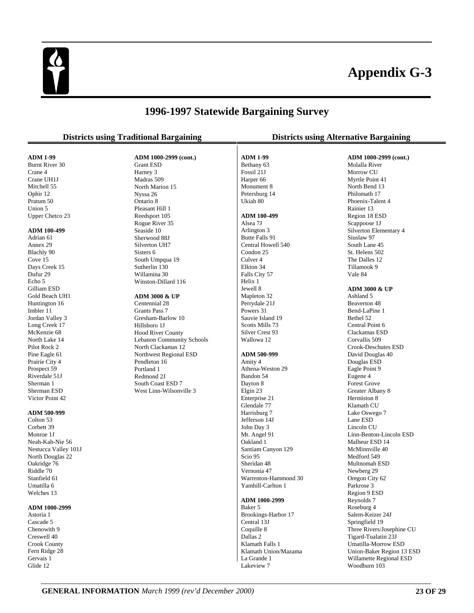

## **1996-1997 Statewide Bargaining Survey**

#### **Districts using Traditional Bargaining Districts using Alternative Bargaining**

#### **ADM 1-99**

Burnt River 30 Crane 4 Crane UH1J Mitchell 55 Ophir 12 Pratum 50 Union 5 Upper Chetco 23

#### **ADM 100-499**

Adrian 61 Annex 29 Blachly 90 Cove 15 Days Creek 15 Dufur 29 Echo 5 Gilliam ESD Gold Beach UH1 Huntington 16 Imbler 11 Jordan Valley 3 Long Creek 17 McKenzie 68 North Lake 14 Pilot Rock 2 Pine Eagle 61 Prairie City 4 Prospect 59 Riverdale 51J Sherman 1 Sherman ESD Victor Point 42

#### **ADM 500-999**

Colton 53 Corbett 39 Monroe 1J Neah-Kah-Nie 56 Nestucca Valley 101J North Douglas 22 Oakridge 76 Riddle 70 Stanfield 61 Umatilla 6 Welches 13

#### **ADM 1000-2999**

Astoria 1 Cascade 5 Chenowith 9 Creswell 40 Crook County Fern Ridge 28 Gervais 1 Glide 12

#### Harney 3 Madras 509 North Marion 15 Nyssa 26 Ontario 8

Grant ESD

Pleasant Hill 1 Reedsport 105 Rogue River 35 Seaside 10 Sherwood 88J Silverton UH7 Sisters 6 South Umpqua 19 Sutherlin 130 Willamina 30 Winston-Dillard 116

**ADM 1000-2999 (cont.)**

#### **ADM 3000 & UP**

Centennial 28 Grants Pass 7 Gresham-Barlow 10 Hillsboro 1J Hood River County Lebanon Community Schools North Clackamas 12 Northwest Regional ESD Pendleton 16 Portland 1 Redmond 2J South Coast ESD 7 West Linn-Wilsonville 3

**ADM 1-99** Bethany 63 Fossil 21J Harper 66 Monument 8 Petersburg 14 Ukiah 80 **ADM 100-499** Alsea 7J Arlington 3 Butte Falls 91 Central Howell 540 Condon 25 Culver 4 Elkton 34 Falls City 57 Helix 1 Jewell 8 Mapleton 32 Perrydale 21J Powers 31 Sauvie Island 19 Scotts Mills 73 Silver Crest 93

Wallowa 12

**ADM 500-999** Amity 4 Athena-Weston 29 Bandon 54 Dayton 8 Elgin 23 Enterprise 21 Glendale 77 Harrisburg 7 Jefferson 14J John Day 3 Mt. Angel 91 Oakland 1 Santiam Canyon 129 Scio 95 Sheridan 48 Vernonia 47

#### Yamhill-Carlton 1 **ADM 1000-2999**

Baker 5 Brookings-Harbor 17 Central 13J Coquille 8 Dallas 2 Klamath Falls 1 Klamath Union/Mazama La Grande 1 Lakeview 7

Warrenton-Hammond 30

**ADM 1000-2999 (cont.)** Molalla River Morrow CU Myrtle Point 41 North Bend 13 Philomath 17 Phoenix-Talent 4 Rainier 13 Region 18 ESD Scappoose 1J Silverton Elementary 4 Siuslaw 97 South Lane 45 St. Helens 502 The Dalles 12 Tillamook 9 Vale 84 **ADM 3000 & UP** Ashland 5 Beaverton 48 Bend-LaPine 1 Bethel 52 Central Point 6 Clackamas ESD Corvallis 509 Crook-Deschutes ESD David Douglas 40 Douglas ESD Eagle Point 9 Eugene 4 Forest Grove Greater Albany 8 Hermiston 8 Klamath CU Lake Oswego 7 Lane ESD Lincoln CU Linn-Benton-Lincoln ESD Malheur ESD 14 McMinnville 40 Medford 549 Multnomah ESD Newberg 29 Oregon City 62 Parkrose 3 Region 9 ESD Reynolds 7 Roseburg 4 Salem-Keizer 24J Springfield 19 Three Rivers/Josephine CU Tigard-Tualatin 23J Umatilla-Morrow ESD Union-Baker Region 13 ESD Willamette Regional ESD Woodburn 103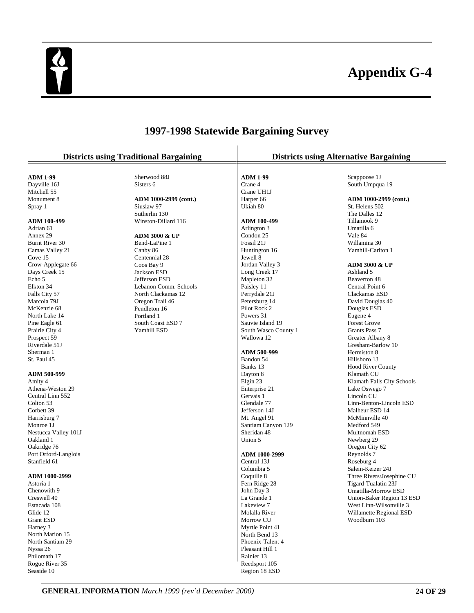



## **1997-1998 Statewide Bargaining Survey**

|                              | <b>Districts using Traditional Bargaining</b> |                           | <b>Districts using Alternative Bargaining</b> |  |  |  |  |  |
|------------------------------|-----------------------------------------------|---------------------------|-----------------------------------------------|--|--|--|--|--|
|                              |                                               |                           |                                               |  |  |  |  |  |
| ADM 1-99                     | Sherwood 88J                                  | <b>ADM 1-99</b>           | Scappoose 1J                                  |  |  |  |  |  |
| Dayville 16J                 | Sisters 6                                     | Crane 4                   | South Umpqua 19                               |  |  |  |  |  |
| Mitchell 55                  |                                               | Crane UH1J                |                                               |  |  |  |  |  |
| Monument 8                   | ADM 1000-2999 (cont.)                         | Harper 66                 | ADM 1000-2999 (cont.)                         |  |  |  |  |  |
| Spray 1                      | Siuslaw 97                                    | Ukiah 80                  | St. Helens 502                                |  |  |  |  |  |
|                              | Sutherlin 130                                 |                           | The Dalles 12                                 |  |  |  |  |  |
| ADM 100-499                  | Winston-Dillard 116                           | <b>ADM 100-499</b>        | Tillamook 9                                   |  |  |  |  |  |
| Adrian 61                    |                                               | Arlington 3               | Umatilla 6                                    |  |  |  |  |  |
| Annex 29                     | <b>ADM 3000 &amp; UP</b>                      | Condon 25                 | Vale 84                                       |  |  |  |  |  |
| <b>Burnt River 30</b>        | Bend-LaPine 1                                 | Fossil 21J                | Willamina 30                                  |  |  |  |  |  |
| Camas Valley 21              | Canby 86                                      | Huntington 16<br>Jewell 8 | Yamhill-Carlton 1                             |  |  |  |  |  |
| Cove 15<br>Crow-Applegate 66 | Centennial 28<br>Coos Bay 9                   | Jordan Valley 3           | <b>ADM 3000 &amp; UP</b>                      |  |  |  |  |  |
| Days Creek 15                | Jackson ESD                                   | Long Creek 17             | Ashland 5                                     |  |  |  |  |  |
| Echo 5                       | Jefferson ESD                                 | Mapleton 32               | Beaverton 48                                  |  |  |  |  |  |
| Elkton 34                    | Lebanon Comm. Schools                         | Paisley 11                | Central Point 6                               |  |  |  |  |  |
| Falls City 57                | North Clackamas 12                            | Perrydale 21J             | Clackamas ESD                                 |  |  |  |  |  |
| Marcola 79J                  | Oregon Trail 46                               | Petersburg 14             | David Douglas 40                              |  |  |  |  |  |
| McKenzie 68                  | Pendleton 16                                  | Pilot Rock 2              | Douglas ESD                                   |  |  |  |  |  |
| North Lake 14                | Portland 1                                    | Powers 31                 | Eugene 4                                      |  |  |  |  |  |
| Pine Eagle 61                | South Coast ESD 7                             | Sauvie Island 19          | <b>Forest Grove</b>                           |  |  |  |  |  |
| Prairie City 4               | Yamhill ESD                                   | South Wasco County 1      | Grants Pass 7                                 |  |  |  |  |  |
| Prospect 59                  |                                               | Wallowa 12                | Greater Albany 8                              |  |  |  |  |  |
| Riverdale 51J                |                                               |                           | Gresham-Barlow 10                             |  |  |  |  |  |
| Sherman 1                    |                                               | <b>ADM 500-999</b>        | Hermiston 8                                   |  |  |  |  |  |
| St. Paul 45                  |                                               | Bandon 54                 | Hillsboro 1J                                  |  |  |  |  |  |
|                              |                                               | Banks 13                  | <b>Hood River County</b>                      |  |  |  |  |  |
| ADM 500-999                  |                                               | Dayton 8                  | Klamath CU                                    |  |  |  |  |  |
| Amity 4                      |                                               | Elgin 23                  | Klamath Falls City Schools                    |  |  |  |  |  |
| Athena-Weston 29             |                                               | Enterprise 21             | Lake Oswego 7                                 |  |  |  |  |  |
| Central Linn 552             |                                               | Gervais 1                 | Lincoln CU                                    |  |  |  |  |  |
| Colton 53                    |                                               | Glendale 77               | Linn-Benton-Lincoln ESD                       |  |  |  |  |  |
| Corbett 39                   |                                               | Jefferson 14J             | Malheur ESD 14                                |  |  |  |  |  |
| Harrisburg 7                 |                                               | Mt. Angel 91              | McMinnville 40                                |  |  |  |  |  |
| Monroe 1J                    |                                               | Santiam Canyon 129        | Medford 549                                   |  |  |  |  |  |
| Nestucca Valley 101J         |                                               | Sheridan 48               | Multnomah ESD                                 |  |  |  |  |  |
| Oakland 1<br>Oakridge 76     |                                               | Union 5                   | Newberg 29<br>Oregon City 62                  |  |  |  |  |  |
| Port Orford-Langlois         |                                               | <b>ADM 1000-2999</b>      | Reynolds 7                                    |  |  |  |  |  |
| Stanfield 61                 |                                               | Central 13J               | Roseburg 4                                    |  |  |  |  |  |
|                              |                                               | Columbia 5                | Salem-Keizer 24J                              |  |  |  |  |  |
| <b>ADM 1000-2999</b>         |                                               | Coquille 8                | Three Rivers/Josephine CU                     |  |  |  |  |  |
| Astoria 1                    |                                               | Fern Ridge 28             | Tigard-Tualatin 23J                           |  |  |  |  |  |
| Chenowith 9                  |                                               | John Day 3                | Umatilla-Morrow ESD                           |  |  |  |  |  |
| Creswell 40                  |                                               | La Grande 1               | Union-Baker Region 13 ESD                     |  |  |  |  |  |
| Estacada 108                 |                                               | Lakeview 7                | West Linn-Wilsonville 3                       |  |  |  |  |  |
| Glide 12                     |                                               | Molalla River             | Willamette Regional ESD                       |  |  |  |  |  |
| <b>Grant ESD</b>             |                                               | Morrow CU                 | Woodburn 103                                  |  |  |  |  |  |
| Harney 3                     |                                               | Myrtle Point 41           |                                               |  |  |  |  |  |
| North Marion 15              |                                               | North Bend 13             |                                               |  |  |  |  |  |
| North Santiam 29             |                                               | Phoenix-Talent 4          |                                               |  |  |  |  |  |
| Nyssa 26                     |                                               | Pleasant Hill 1           |                                               |  |  |  |  |  |
| Philomath 17                 |                                               | Rainier 13                |                                               |  |  |  |  |  |
| Rogue River 35               |                                               | Reedsport 105             |                                               |  |  |  |  |  |
| Seaside 10                   |                                               | Region 18 ESD             |                                               |  |  |  |  |  |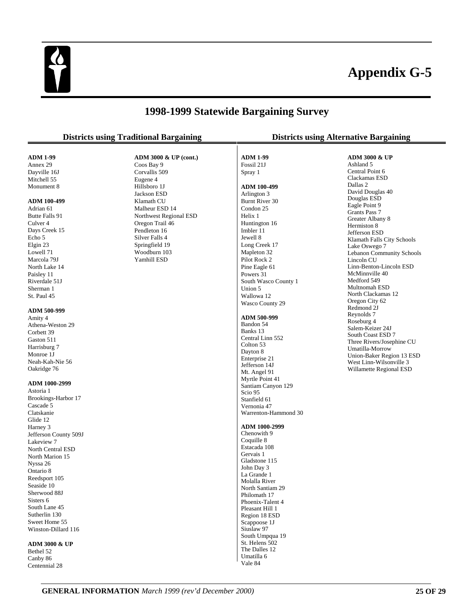

#### **1998-1999 Statewide Bargaining Survey**

#### **Districts using Traditional Bargaining Districts using Alternative Bargaining**

#### **ADM 1-99**

Annex 29 Dayville 16J Mitchell 55 Monument 8

#### **ADM 100-499**

Adrian 61 Butte Falls 91 Culver 4 Days Creek 15 Echo 5 Elgin 23 Lowell 71 Marcola 79J North Lake 14 Paisley 11 Riverdale 51J Sherman 1 St. Paul 45

#### **ADM 500-999**

Amity 4 Athena-Weston 29 Corbett 39 Gaston 511 Harrisburg 7 Monroe 1J Neah-Kah-Nie 56 Oakridge 76

#### **ADM 1000-2999**

Astoria 1 Brookings-Harbor 17 Cascade 5 Clatskanie Glide 12 Harney 3 Jefferson County 509J Lakeview 7 North Central ESD North Marion 15 Nyssa 26 Ontario 8 Reedsport 105 Seaside 10 Sherwood 88J Sisters 6 South Lane 45 Sutherlin 130 Sweet Home 55 Winston-Dillard 116

#### **ADM 3000 & UP**

Bethel 52 Canby 86 Centennial 28

#### **ADM 3000 & UP (cont.)** Coos Bay 9 Corvallis 509 Eugene 4 Hillsboro 1J Jackson ESD Klamath CU Malheur ESD 14 Northwest Regional ESD Oregon Trail 46 Pendleton 16 Silver Falls 4 Springfield 19 Woodburn 103 Yamhill ESD

#### Fossil 21J Spray 1 **ADM 100-499** Arlington 3

**ADM 1-99**

Burnt River 30 Condon 25 Helix 1 Huntington 16 Imbler 11 Jewell 8 Long Creek 17 Mapleton 32 Pilot Rock 2 Pine Eagle 61 Powers 31 South Wasco County 1 Union 5 Wallowa 12 Wasco County 29

#### **ADM 500-999**

Bandon 54 Banks 13 Central Linn 552 Colton 53 Dayton 8 Enterprise 21 Jefferson 14J Mt. Angel 91 Myrtle Point 41 Santiam Canyon 129 Scio 95 Stanfield 61 Vernonia 47 Warrenton-Hammond 30

#### **ADM 1000-2999** Chenowith 9 Coquille 8

Estacada 108 Gervais 1 Gladstone 115 John Day 3 La Grande 1 Molalla River North Santiam 29 Philomath 17 Phoenix-Talent 4 Pleasant Hill 1 Region 18 ESD Scappoose 1J Siuslaw 97 South Umpqua 19 St. Helens 502 The Dalles 12 Umatilla 6

Vale 84

**ADM 3000 & UP** Ashland 5 Central Point 6 Clackamas ESD Dallas 2 David Douglas 40 Douglas ESD Eagle Point 9 Grants Pass 7 Greater Albany 8 Hermiston 8 Jefferson ESD Klamath Falls City Schools Lake Oswego 7 Lebanon Community Schools Lincoln CU Linn-Benton-Lincoln ESD McMinnville 40 Medford 549 Multnomah ESD North Clackamas 12 Oregon City 62 Redmond 2J Reynolds 7 Roseburg 4 Salem-Keizer 24J South Coast ESD 7 Three Rivers/Josephine CU Umatilla-Morrow Union-Baker Region 13 ESD West Linn-Wilsonville 3 Willamette Regional ESD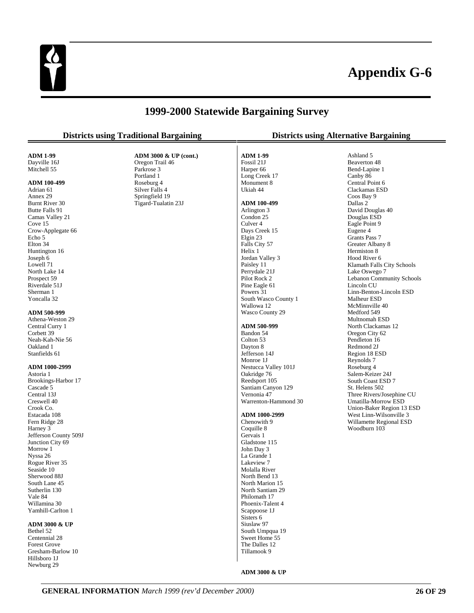

Ashland 5

## **1999-2000 Statewide Bargaining Survey**

#### **Districts using Traditional Bargaining Districts using Alternative Bargaining**

**ADM 1-99** Dayville 16J Mitchell 55

#### **ADM 100-499**

Adrian 61 Annex 29 Burnt River 30 Butte Falls 91 Camas Valley 21 Cove 15 Crow-Applegate 66 Echo 5 Elton 34 Huntington 16 Joseph 6 Lowell 71 North Lake 14 Prospect 59 Riverdale 51J Sherman 1 Yoncalla 32

#### **ADM 500-999**

Athena-Weston 29 Central Curry 1 Corbett 39 Neah-Kah-Nie 56 Oakland 1 Stanfields 61

#### **ADM 1000-2999**

Astoria 1 Brookings-Harbor 17 Cascade 5 Central 13J Creswell 40 Crook Co. Estacada 108 Fern Ridge 28 Harney 3 Jefferson County 509J Junction City 69 Morrow 1 Nyssa 26 Rogue River 35 Seaside 10 Sherwood 88J South Lane 45 Sutherlin 130 Vale 84 Willamina 30 Yamhill-Carlton 1

#### **ADM 3000 & UP**

Bethel 52 Centennial 28 Forest Grove Gresham-Barlow 10 Hillsboro 1J Newburg 29

#### **ADM 3000 & UP (cont.)** Oregon Trail 46 Parkrose 3 Portland 1

Roseburg 4 Silver Falls 4 Springfield 19 Tigard-Tualatin 23J

#### **ADM 1-99** Fossil 21J Harper 66 Long Creek 17

Monument 8 Ukiah 44 **ADM 100-499** Arlington 3 Condon 25 Culver 4 Days Creek 15

Elgin 23 Falls City 57 Helix 1 Jordan Valley 3 Paisley 11 Perrydale 21J Pilot Rock 2 Pine Eagle 61 Powers 31 South Wasco County 1 Wallowa 12 Wasco County 29

**ADM 500-999** Bandon 54 Colton 53 Dayton 8 Jefferson 14J Monroe 1J Nestucca Valley 101J Oakridge 76 Reedsport 105 Santiam Canyon 129 Vernonia 47 Warrenton-Hammond 30

#### **ADM 1000-2999**

Chenowith 9 Coquille 8 Gervais 1 Gladstone 115 John Day 3 La Grande 1 Lakeview 7 Molalla River North Bend 13 North Marion 15 North Santiam 29 Philomath 17 Phoenix-Talent 4 Scappoose 1J Sisters 6 Siuslaw 97 South Umpqua 19 Sweet Home 55 The Dalles 12 Tillamook 9

Beaverton 48 Bend-Lapine 1 Canby 86 Central Point 6 Clackamas ESD Coos Bay 9 Dallas 2 David Douglas 40 Douglas ESD Eagle Point 9 Eugene 4 Grants Pass 7 Greater Albany 8 Hermiston 8 Hood River 6 Klamath Falls City Schools Lake Oswego 7 Lebanon Community Schools Lincoln CU Linn-Benton-Lincoln ESD Malheur ESD McMinnville 40 Medford 549 Multnomah ESD North Clackamas 12 Oregon City 62 Pendleton 16 Redmond 2J Region 18 ESD Reynolds 7 Roseburg 4 Salem-Keizer 24J South Coast ESD 7 St. Helens 502 Three Rivers/Josephine CU Umatilla-Morrow ESD Union-Baker Region 13 ESD West Linn-Wilsonville 3 Willamette Regional ESD Woodburn 103

#### **ADM 3000 & UP**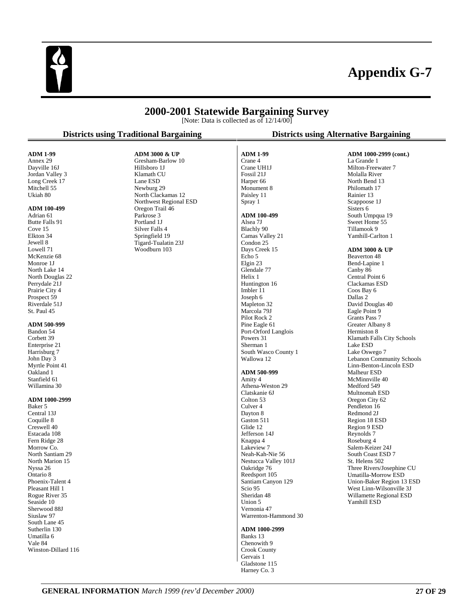

## **2000-2001 Statewide Bargaining Survey**

**ADM 1-99**

[Note: Data is collected as of 12/14/00]

#### **ADM 1-99**

Annex 29 Dayville 16J Jordan Valley 3 Long Creek 17 Mitchell 55 Ukiah 80

#### **ADM 100-499**

Adrian 61 Butte Falls 91 Cove 15 Elkton 34 Jewell 8 Lowell 71 McKenzie 68 Monroe 1J North Lake 14 North Douglas 22 Perrydale 21J Prairie City 4 Prospect 59 Riverdale 51J St. Paul 45

#### **ADM 500-999**

Bandon 54 Corbett 39 Enterprise 21 Harrisburg 7 John Day 3 Myrtle Point 41 Oakland 1 Stanfield 61 Willamina 30

#### **ADM 1000-2999**

Baker 5 Central 13J Coquille 8 Creswell 40 Estacada 108 Fern Ridge 28 Morrow Co. North Santiam 29 North Marion 15 Nyssa 26 Ontario 8 Phoenix-Talent 4 Pleasant Hill 1 Rogue River 35 Seaside 10 Sherwood 88J Siuslaw 97 South Lane 45 Sutherlin 130 Umatilla 6 Vale 84 Winston-Dillard 116

#### **ADM 3000 & UP** Gresham-Barlow 10 Hillsboro 1J Klamath CU Lane ESD

Newburg 29 North Clackamas 12 Northwest Regional ESD Oregon Trail 46 Parkrose 3 Portland 1J Silver Falls 4 Springfield 19 Tigard-Tualatin 23J Woodburn 103

#### Crane 4 Crane UH1J Fossil 21J Harper 66 Monument 8 Paisley 11 Spray 1 **ADM 100-499** Alsea 7J Blachly 90 Camas Valley 21 Condon 25 Days Creek 15 Echo 5 Elgin 23 Glendale 77 Helix 1 Huntington 16 Imbler 11 Joseph 6 Mapleton 32 Marcola 79J Pilot Rock 2 Pine Eagle 61 Port-Orford Langlois Powers 31 Sherman 1 South Wasco County 1 Wallowa 12 **ADM 500-999** Amity 4 Athena-Weston 29 Clatskanie 6J Colton 53 Culver 4 Dayton 8 Gaston 511 Glide 12 Jefferson 14J Knappa 4 Lakeview 7 Neah-Kah-Nie 56 Nestucca Valley 101J Oakridge 76 Reedsport 105 Santiam Canyon 129 Scio 95 Sheridan 48 Union 5 Vernonia 47 Warrenton-Hammond 30

**ADM 1000-2999** Banks 13 Chenowith 9 Crook County Gervais 1 Gladstone 115 Harney Co. 3

#### **Districts using Traditional Bargaining Districts using Alternative Bargaining**

**ADM 1000-2999 (cont.)** La Grande 1 Milton-Freewater 7 Molalla River North Bend 13 Philomath 17 Rainier 13 Scappoose 1J Sisters 6 South Umpqua 19 Sweet Home 55 Tillamook 9 Yamhill-Carlton 1 **ADM 3000 & UP** Beaverton 48 Bend-Lapine 1 Canby 86 Central Point 6 Clackamas ESD Coos Bay 6 Dallas 2 David Douglas 40 Eagle Point 9 Grants Pass 7 Greater Albany 8 Hermiston 8 Klamath Falls City Schools Lake ESD Lake Oswego 7 Lebanon Community Schools Linn-Benton-Lincoln ESD Malheur ESD McMinnville 40 Medford 549 Multnomah ESD Oregon City 62 Pendleton 16 Redmond 2J Region 18 ESD Region 9 ESD Reynolds 7 Roseburg 4 Salem-Keizer 24J South Coast ESD 7 St. Helens 502 Three Rivers/Josephine CU Umatilla-Morrow ESD Union-Baker Region 13 ESD West Linn-Wilsonville 3J Willamette Regional ESD Yamhill ESD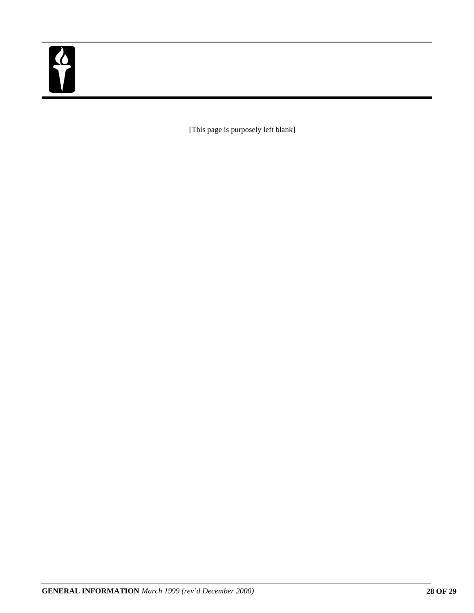